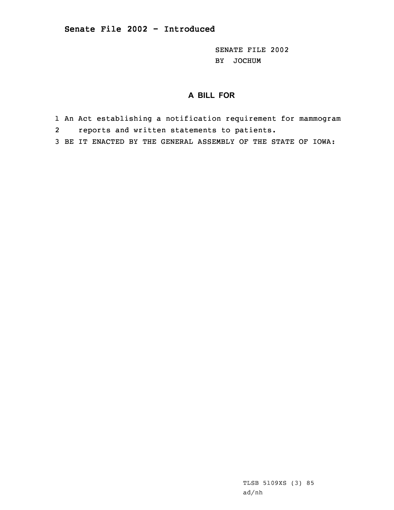SENATE FILE 2002 BY JOCHUM

## **A BILL FOR**

- 1 An Act establishing <sup>a</sup> notification requirement for mammogram
- 2reports and written statements to patients.
- 3 BE IT ENACTED BY THE GENERAL ASSEMBLY OF THE STATE OF IOWA: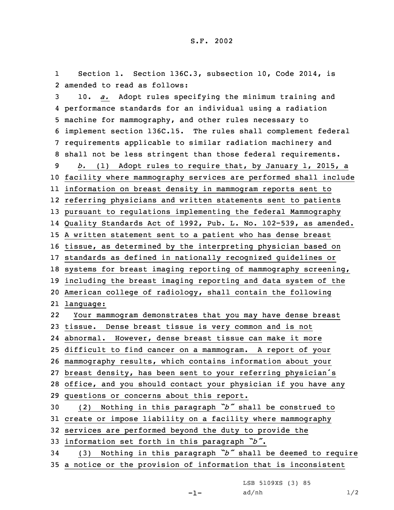1 Section 1. Section 136C.3, subsection 10, Code 2014, is 2 amended to read as follows:

 10. *a.* Adopt rules specifying the minimum training and performance standards for an individual using <sup>a</sup> radiation machine for mammography, and other rules necessary to implement section 136C.15. The rules shall complement federal requirements applicable to similar radiation machinery and shall not be less stringent than those federal requirements. *b.* (1) Adopt rules to require that, by January 1, 2015, <sup>a</sup> facility where mammography services are performed shall include information on breast density in mammogram reports sent to referring physicians and written statements sent to patients pursuant to regulations implementing the federal Mammography Quality Standards Act of 1992, Pub. L. No. 102-539, as amended. <sup>A</sup> written statement sent to <sup>a</sup> patient who has dense breast tissue, as determined by the interpreting physician based on standards as defined in nationally recognized guidelines or systems for breast imaging reporting of mammography screening, including the breast imaging reporting and data system of the American college of radiology, shall contain the following language: 22 Your mammogram demonstrates that you may have dense breast tissue. Dense breast tissue is very common and is not abnormal. However, dense breast tissue can make it more difficult to find cancer on <sup>a</sup> mammogram. <sup>A</sup> report of your mammography results, which contains information about your breast density, has been sent to your referring physician's office, and you should contact your physician if you have any questions or concerns about this report. (2) Nothing in this paragraph *"b"* shall be construed to create or impose liability on <sup>a</sup> facility where mammography services are performed beyond the duty to provide the information set forth in this paragraph *"b"*. (3) Nothing in this paragraph *"b"* shall be deemed to require

35 <sup>a</sup> notice or the provision of information that is inconsistent

LSB 5109XS (3) 85